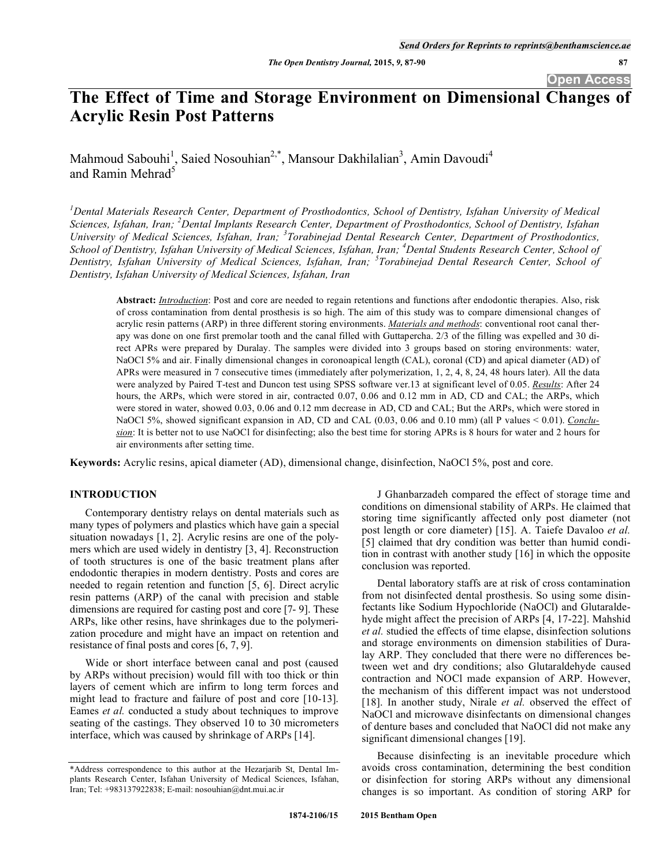# **The Effect of Time and Storage Environment on Dimensional Changes of Acrylic Resin Post Patterns**

Mahmoud Sabouhi<sup>1</sup>, Saied Nosouhian<sup>2,\*</sup>, Mansour Dakhilalian<sup>3</sup>, Amin Davoudi<sup>4</sup> and Ramin Mehrad<sup>5</sup>

<sup>1</sup> Dental Materials Research Center, Department of Prosthodontics, School of Dentistry, Isfahan University of Medical Sciences, Isfahan, Iran; <sup>2</sup> Dental Implants Research Center, Department of Prosthodontics, School of Dentistry, Isfahan *University of Medical Sciences, Isfahan, Iran; <sup>3</sup> Torabinejad Dental Research Center, Department of Prosthodontics, School of Dentistry, Isfahan University of Medical Sciences, Isfahan, Iran; <sup>4</sup> Dental Students Research Center, School of Dentistry, Isfahan University of Medical Sciences, Isfahan, Iran; <sup>5</sup> Torabinejad Dental Research Center, School of Dentistry, Isfahan University of Medical Sciences, Isfahan, Iran* 

**Abstract:** *Introduction*: Post and core are needed to regain retentions and functions after endodontic therapies. Also, risk of cross contamination from dental prosthesis is so high. The aim of this study was to compare dimensional changes of acrylic resin patterns (ARP) in three different storing environments. *Materials and methods*: conventional root canal therapy was done on one first premolar tooth and the canal filled with Guttapercha. 2/3 of the filling was expelled and 30 direct APRs were prepared by Duralay. The samples were divided into 3 groups based on storing environments: water, NaOCl 5% and air. Finally dimensional changes in coronoapical length (CAL), coronal (CD) and apical diameter (AD) of APRs were measured in 7 consecutive times (immediately after polymerization, 1, 2, 4, 8, 24, 48 hours later). All the data were analyzed by Paired T-test and Duncon test using SPSS software ver.13 at significant level of 0.05. *Results*: After 24 hours, the ARPs, which were stored in air, contracted 0.07, 0.06 and 0.12 mm in AD, CD and CAL; the ARPs, which were stored in water, showed 0.03, 0.06 and 0.12 mm decrease in AD, CD and CAL; But the ARPs, which were stored in NaOCl 5%, showed significant expansion in AD, CD and CAL (0.03, 0.06 and 0.10 mm) (all P values < 0.01). *Conclusion*: It is better not to use NaOCl for disinfecting; also the best time for storing APRs is 8 hours for water and 2 hours for air environments after setting time.

**Keywords:** Acrylic resins, apical diameter (AD), dimensional change, disinfection, NaOCl 5%, post and core.

# **INTRODUCTION**

Contemporary dentistry relays on dental materials such as many types of polymers and plastics which have gain a special situation nowadays [1, 2]. Acrylic resins are one of the polymers which are used widely in dentistry [3, 4]. Reconstruction of tooth structures is one of the basic treatment plans after endodontic therapies in modern dentistry. Posts and cores are needed to regain retention and function [5, 6]. Direct acrylic resin patterns (ARP) of the canal with precision and stable dimensions are required for casting post and core [7- 9]. These ARPs, like other resins, have shrinkages due to the polymerization procedure and might have an impact on retention and resistance of final posts and cores [6, 7, 9].

Wide or short interface between canal and post (caused by ARPs without precision) would fill with too thick or thin layers of cement which are infirm to long term forces and might lead to fracture and failure of post and core [10-13]. Eames *et al.* conducted a study about techniques to improve seating of the castings. They observed 10 to 30 micrometers interface, which was caused by shrinkage of ARPs [14].

J Ghanbarzadeh compared the effect of storage time and conditions on dimensional stability of ARPs. He claimed that storing time significantly affected only post diameter (not post length or core diameter) [15]. A. Taiefe Davaloo *et al.*  [5] claimed that dry condition was better than humid condition in contrast with another study [16] in which the opposite conclusion was reported.

Dental laboratory staffs are at risk of cross contamination from not disinfected dental prosthesis. So using some disinfectants like Sodium Hypochloride (NaOCl) and Glutaraldehyde might affect the precision of ARPs [4, 17-22]. Mahshid *et al.* studied the effects of time elapse, disinfection solutions and storage environments on dimension stabilities of Duralay ARP. They concluded that there were no differences between wet and dry conditions; also Glutaraldehyde caused contraction and NOCl made expansion of ARP. However, the mechanism of this different impact was not understood [18]. In another study, Nirale *et al.* observed the effect of NaOCl and microwave disinfectants on dimensional changes of denture bases and concluded that NaOCl did not make any significant dimensional changes [19].

Because disinfecting is an inevitable procedure which avoids cross contamination, determining the best condition or disinfection for storing ARPs without any dimensional changes is so important. As condition of storing ARP for

<sup>\*</sup>Address correspondence to this author at the Hezarjarib St, Dental Implants Research Center, Isfahan University of Medical Sciences, Isfahan, Iran; Tel: +983137922838; E-mail: nosouhian@dnt.mui.ac.ir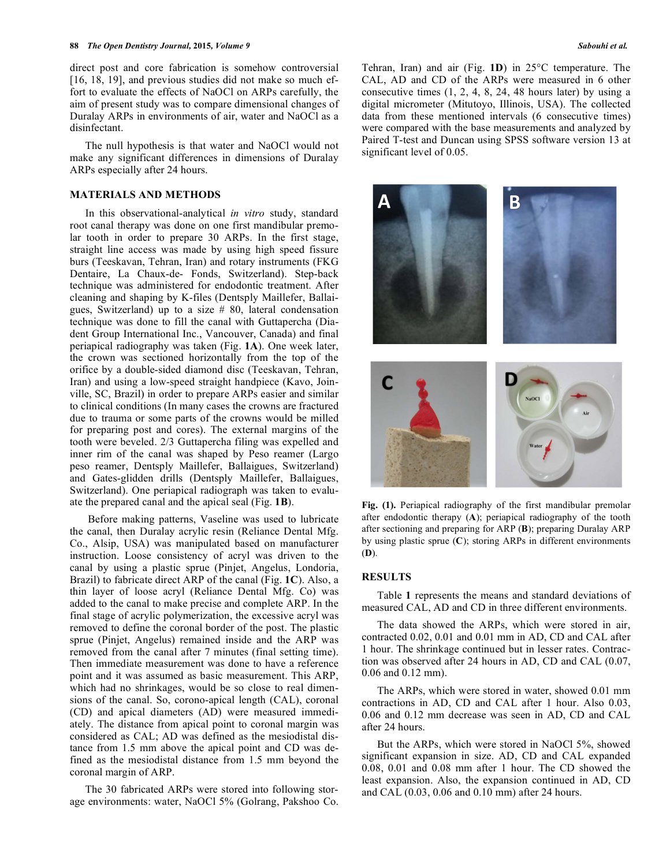direct post and core fabrication is somehow controversial [16, 18, 19], and previous studies did not make so much effort to evaluate the effects of NaOCl on ARPs carefully, the aim of present study was to compare dimensional changes of Duralay ARPs in environments of air, water and NaOCl as a disinfectant.

The null hypothesis is that water and NaOCl would not make any significant differences in dimensions of Duralay ARPs especially after 24 hours.

## **MATERIALS AND METHODS**

In this observational-analytical *in vitro* study, standard root canal therapy was done on one first mandibular premolar tooth in order to prepare 30 ARPs. In the first stage, straight line access was made by using high speed fissure burs (Teeskavan, Tehran, Iran) and rotary instruments (FKG Dentaire, La Chaux-de- Fonds, Switzerland). Step-back technique was administered for endodontic treatment. After cleaning and shaping by K-files (Dentsply Maillefer, Ballaigues, Switzerland) up to a size  $#80$ , lateral condensation technique was done to fill the canal with Guttapercha (Diadent Group International Inc., Vancouver, Canada) and final periapical radiography was taken (Fig. **1A**). One week later, the crown was sectioned horizontally from the top of the orifice by a double-sided diamond disc (Teeskavan, Tehran, Iran) and using a low-speed straight handpiece (Kavo, Joinville, SC, Brazil) in order to prepare ARPs easier and similar to clinical conditions (In many cases the crowns are fractured due to trauma or some parts of the crowns would be milled for preparing post and cores). The external margins of the tooth were beveled. 2/3 Guttapercha filing was expelled and inner rim of the canal was shaped by Peso reamer (Largo peso reamer, Dentsply Maillefer, Ballaigues, Switzerland) and Gates-glidden drills (Dentsply Maillefer, Ballaigues, Switzerland). One periapical radiograph was taken to evaluate the prepared canal and the apical seal (Fig. **1B**).

 Before making patterns, Vaseline was used to lubricate the canal, then Duralay acrylic resin (Reliance Dental Mfg. Co., Alsip, USA) was manipulated based on manufacturer instruction. Loose consistency of acryl was driven to the canal by using a plastic sprue (Pinjet, Angelus, Londoria, Brazil) to fabricate direct ARP of the canal (Fig. **1C**). Also, a thin layer of loose acryl (Reliance Dental Mfg. Co) was added to the canal to make precise and complete ARP. In the final stage of acrylic polymerization, the excessive acryl was removed to define the coronal border of the post. The plastic sprue (Pinjet, Angelus) remained inside and the ARP was removed from the canal after 7 minutes (final setting time). Then immediate measurement was done to have a reference point and it was assumed as basic measurement. This ARP, which had no shrinkages, would be so close to real dimensions of the canal. So, corono-apical length (CAL), coronal (CD) and apical diameters (AD) were measured immediately. The distance from apical point to coronal margin was considered as CAL; AD was defined as the mesiodistal distance from 1.5 mm above the apical point and CD was defined as the mesiodistal distance from 1.5 mm beyond the coronal margin of ARP.

The 30 fabricated ARPs were stored into following storage environments: water, NaOCl 5% (Golrang, Pakshoo Co. Tehran, Iran) and air (Fig. **1D**) in 25°C temperature. The CAL, AD and CD of the ARPs were measured in 6 other consecutive times (1, 2, 4, 8, 24, 48 hours later) by using a digital micrometer (Mitutoyo, Illinois, USA). The collected data from these mentioned intervals (6 consecutive times) were compared with the base measurements and analyzed by Paired T-test and Duncan using SPSS software version 13 at significant level of 0.05.



**Fig. (1).** Periapical radiography of the first mandibular premolar after endodontic therapy (**A**); periapical radiography of the tooth after sectioning and preparing for ARP (**B**); preparing Duralay ARP by using plastic sprue (**C**); storing ARPs in different environments (**D**).

## **RESULTS**

Table **1** represents the means and standard deviations of measured CAL, AD and CD in three different environments.

The data showed the ARPs, which were stored in air, contracted 0.02, 0.01 and 0.01 mm in AD, CD and CAL after 1 hour. The shrinkage continued but in lesser rates. Contraction was observed after 24 hours in AD, CD and CAL (0.07, 0.06 and 0.12 mm).

The ARPs, which were stored in water, showed 0.01 mm contractions in AD, CD and CAL after 1 hour. Also 0.03, 0.06 and 0.12 mm decrease was seen in AD, CD and CAL after 24 hours.

But the ARPs, which were stored in NaOCl 5%, showed significant expansion in size. AD, CD and CAL expanded 0.08, 0.01 and 0.08 mm after 1 hour. The CD showed the least expansion. Also, the expansion continued in AD, CD and CAL (0.03, 0.06 and 0.10 mm) after 24 hours.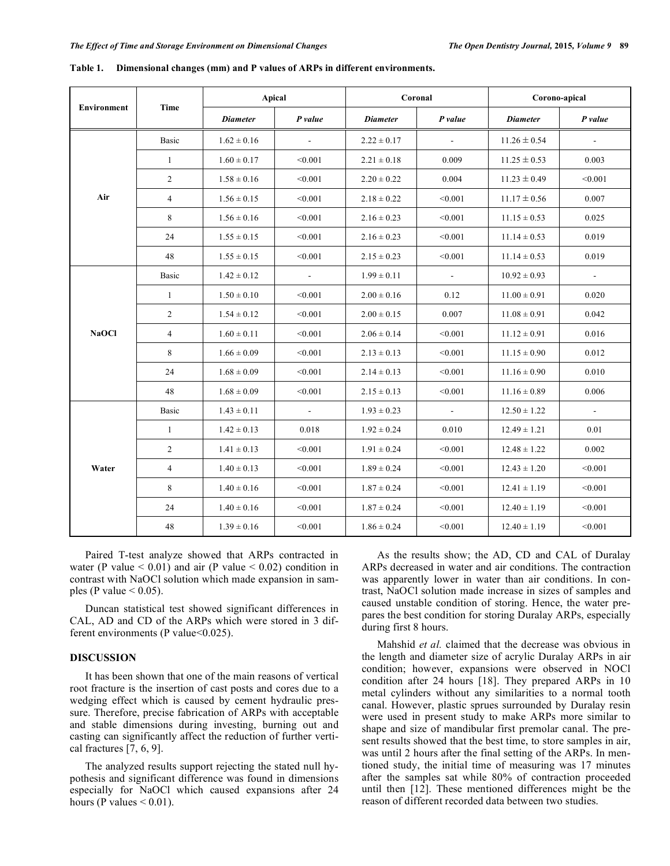| Environment  | Time           | Apical          |                | Coronal         |                | Corono-apical    |                |
|--------------|----------------|-----------------|----------------|-----------------|----------------|------------------|----------------|
|              |                | <b>Diameter</b> | $P$ value      | <b>Diameter</b> | $P$ value      | <b>Diameter</b>  | P value        |
| Air          | <b>Basic</b>   | $1.62 \pm 0.16$ | $\sim$         | $2.22 \pm 0.17$ | $\sim$         | $11.26 \pm 0.54$ | $\sim$         |
|              | $\mathbf{1}$   | $1.60 \pm 0.17$ | < 0.001        | $2.21 \pm 0.18$ | 0.009          | $11.25 \pm 0.53$ | 0.003          |
|              | $\overline{c}$ | $1.58 \pm 0.16$ | < 0.001        | $2.20 \pm 0.22$ | 0.004          | $11.23 \pm 0.49$ | < 0.001        |
|              | $\overline{4}$ | $1.56 \pm 0.15$ | < 0.001        | $2.18 \pm 0.22$ | < 0.001        | $11.17 \pm 0.56$ | 0.007          |
|              | 8              | $1.56 \pm 0.16$ | < 0.001        | $2.16 \pm 0.23$ | < 0.001        | $11.15 \pm 0.53$ | 0.025          |
|              | 24             | $1.55 \pm 0.15$ | < 0.001        | $2.16 \pm 0.23$ | < 0.001        | $11.14 \pm 0.53$ | 0.019          |
|              | 48             | $1.55 \pm 0.15$ | < 0.001        | $2.15 \pm 0.23$ | < 0.001        | $11.14 \pm 0.53$ | 0.019          |
| <b>NaOCI</b> | <b>Basic</b>   | $1.42 \pm 0.12$ | $\blacksquare$ | $1.99 \pm 0.11$ | $\blacksquare$ | $10.92 \pm 0.93$ | $\blacksquare$ |
|              | $\mathbf{1}$   | $1.50 \pm 0.10$ | < 0.001        | $2.00 \pm 0.16$ | 0.12           | $11.00 \pm 0.91$ | 0.020          |
|              | $\overline{c}$ | $1.54 \pm 0.12$ | < 0.001        | $2.00 \pm 0.15$ | 0.007          | $11.08 \pm 0.91$ | 0.042          |
|              | 4              | $1.60 \pm 0.11$ | < 0.001        | $2.06 \pm 0.14$ | < 0.001        | $11.12 \pm 0.91$ | 0.016          |
|              | 8              | $1.66 \pm 0.09$ | < 0.001        | $2.13 \pm 0.13$ | < 0.001        | $11.15 \pm 0.90$ | 0.012          |
|              | 24             | $1.68 \pm 0.09$ | < 0.001        | $2.14 \pm 0.13$ | < 0.001        | $11.16 \pm 0.90$ | 0.010          |
|              | 48             | $1.68 \pm 0.09$ | < 0.001        | $2.15 \pm 0.13$ | < 0.001        | $11.16 \pm 0.89$ | 0.006          |
| Water        | <b>Basic</b>   | $1.43 \pm 0.11$ | $\sim$         | $1.93 \pm 0.23$ | $\sim$         | $12.50 \pm 1.22$ | $\sim$         |
|              | $\mathbf{1}$   | $1.42 \pm 0.13$ | 0.018          | $1.92 \pm 0.24$ | 0.010          | $12.49 \pm 1.21$ | 0.01           |
|              | $\overline{c}$ | $1.41 \pm 0.13$ | < 0.001        | $1.91 \pm 0.24$ | < 0.001        | $12.48 \pm 1.22$ | 0.002          |
|              | $\overline{4}$ | $1.40 \pm 0.13$ | < 0.001        | $1.89 \pm 0.24$ | < 0.001        | $12.43 \pm 1.20$ | < 0.001        |
|              | 8              | $1.40 \pm 0.16$ | < 0.001        | $1.87 \pm 0.24$ | < 0.001        | $12.41 \pm 1.19$ | < 0.001        |
|              | 24             | $1.40 \pm 0.16$ | < 0.001        | $1.87 \pm 0.24$ | < 0.001        | $12.40 \pm 1.19$ | < 0.001        |
|              | 48             | $1.39 \pm 0.16$ | < 0.001        | $1.86 \pm 0.24$ | < 0.001        | $12.40 \pm 1.19$ | < 0.001        |

**Table 1. Dimensional changes (mm) and P values of ARPs in different environments.** 

Paired T-test analyze showed that ARPs contracted in water (P value  $< 0.01$ ) and air (P value  $< 0.02$ ) condition in contrast with NaOCl solution which made expansion in samples (P value  $< 0.05$ ).

Duncan statistical test showed significant differences in CAL, AD and CD of the ARPs which were stored in 3 different environments (P value $<0.025$ ).

# **DISCUSSION**

It has been shown that one of the main reasons of vertical root fracture is the insertion of cast posts and cores due to a wedging effect which is caused by cement hydraulic pressure. Therefore, precise fabrication of ARPs with acceptable and stable dimensions during investing, burning out and casting can significantly affect the reduction of further vertical fractures [7, 6, 9].

The analyzed results support rejecting the stated null hypothesis and significant difference was found in dimensions especially for NaOCl which caused expansions after 24 hours (P values  $< 0.01$ ).

As the results show; the AD, CD and CAL of Duralay ARPs decreased in water and air conditions. The contraction was apparently lower in water than air conditions. In contrast, NaOCl solution made increase in sizes of samples and caused unstable condition of storing. Hence, the water prepares the best condition for storing Duralay ARPs, especially during first 8 hours.

Mahshid *et al.* claimed that the decrease was obvious in the length and diameter size of acrylic Duralay ARPs in air condition; however, expansions were observed in NOCl condition after 24 hours [18]. They prepared ARPs in 10 metal cylinders without any similarities to a normal tooth canal. However, plastic sprues surrounded by Duralay resin were used in present study to make ARPs more similar to shape and size of mandibular first premolar canal. The present results showed that the best time, to store samples in air, was until 2 hours after the final setting of the ARPs. In mentioned study, the initial time of measuring was 17 minutes after the samples sat while 80% of contraction proceeded until then [12]. These mentioned differences might be the reason of different recorded data between two studies.